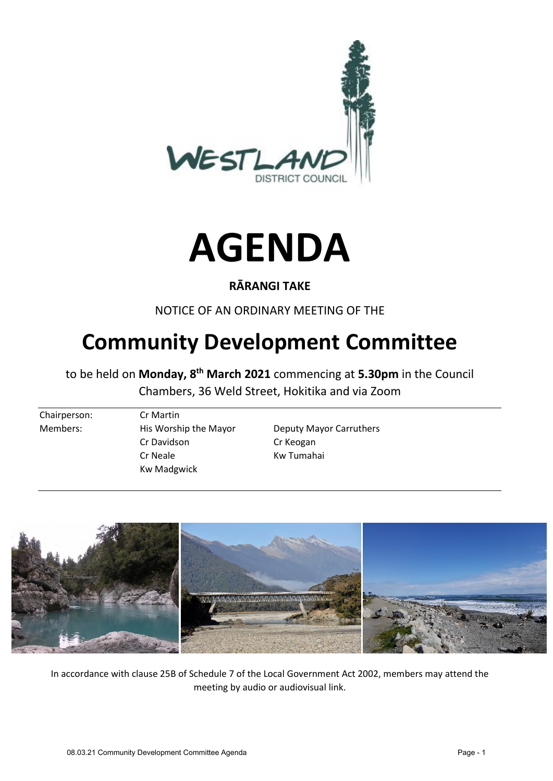



#### **RĀRANGI TAKE**

NOTICE OF AN ORDINARY MEETING OF THE

# **Community Development Committee**

to be held on **Monday, 8th March 2021** commencing at **5.30pm** in the Council Chambers, 36 Weld Street, Hokitika and via Zoom

Chairperson: Cr Martin Members: His Worship the Mayor Deputy Mayor Carruthers Cr Davidson Cr Keogan Cr Neale Kw Tumahai Kw Madgwick



In accordance with clause 25B of Schedule 7 of the Local Government Act 2002, members may attend the meeting by audio or audiovisual link.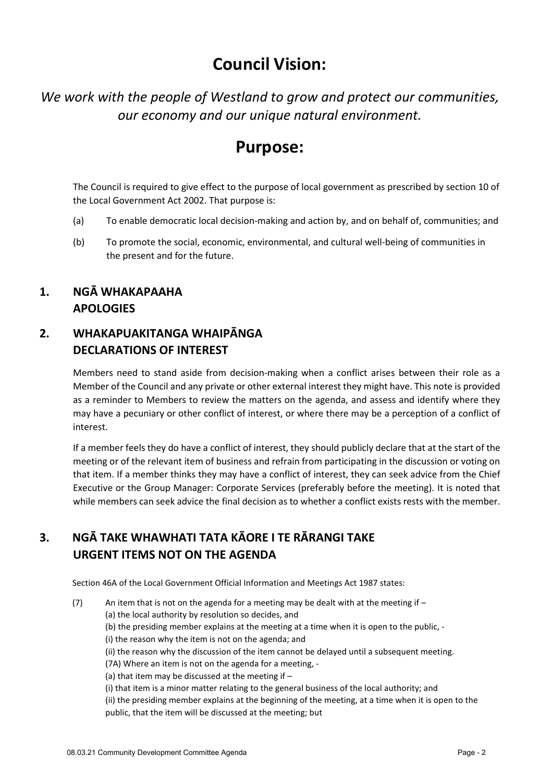# **Council Vision:**

*We work with the people of Westland to grow and protect our communities, our economy and our unique natural environment.* 

## **Purpose:**

The Council is required to give effect to the purpose of local government as prescribed by section 10 of the Local Government Act 2002. That purpose is:

- (a) To enable democratic local decision-making and action by, and on behalf of, communities; and
- (b) To promote the social, economic, environmental, and cultural well-being of communities in the present and for the future.

#### **1. NGĀ WHAKAPAAHA APOLOGIES**

## **2. WHAKAPUAKITANGA WHAIPĀNGA DECLARATIONS OF INTEREST**

Members need to stand aside from decision-making when a conflict arises between their role as a Member of the Council and any private or other external interest they might have. This note is provided as a reminder to Members to review the matters on the agenda, and assess and identify where they may have a pecuniary or other conflict of interest, or where there may be a perception of a conflict of interest.

If a member feels they do have a conflict of interest, they should publicly declare that at the start of the meeting or of the relevant item of business and refrain from participating in the discussion or voting on that item. If a member thinks they may have a conflict of interest, they can seek advice from the Chief Executive or the Group Manager: Corporate Services (preferably before the meeting). It is noted that while members can seek advice the final decision as to whether a conflict exists rests with the member.

## **3. NGĀ TAKE WHAWHATI TATA KĀORE I TE RĀRANGI TAKE URGENT ITEMS NOT ON THE AGENDA**

Section 46A of the Local Government Official Information and Meetings Act 1987 states:

(7) An item that is not on the agenda for a meeting may be dealt with at the meeting if  $-$ (a) the local authority by resolution so decides, and (b) the presiding member explains at the meeting at a time when it is open to the public, - (i) the reason why the item is not on the agenda; and (ii) the reason why the discussion of the item cannot be delayed until a subsequent meeting. (7A) Where an item is not on the agenda for a meeting, - (a) that item may be discussed at the meeting if – (i) that item is a minor matter relating to the general business of the local authority; and (ii) the presiding member explains at the beginning of the meeting, at a time when it is open to the public, that the item will be discussed at the meeting; but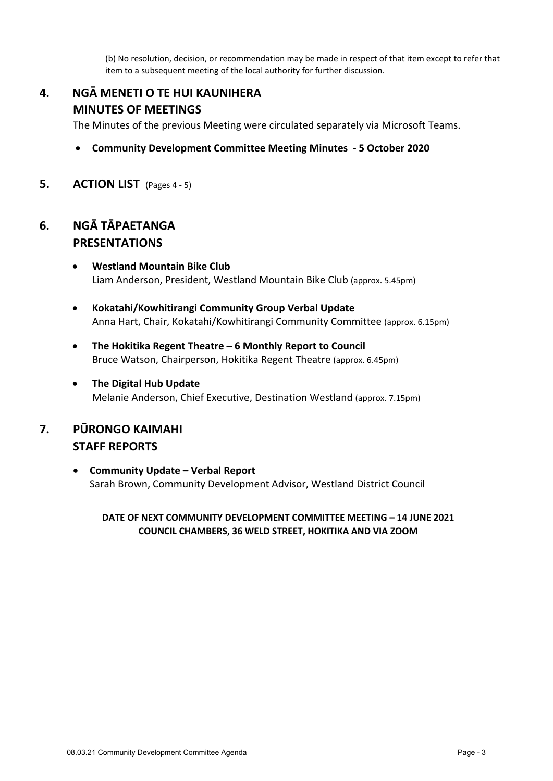(b) No resolution, decision, or recommendation may be made in respect of that item except to refer that item to a subsequent meeting of the local authority for further discussion.

## **4. NGĀ MENETI O TE HUI KAUNIHERA MINUTES OF MEETINGS**

The Minutes of the previous Meeting were circulated separately via Microsoft Teams.

- **Community Development Committee Meeting Minutes 5 October 2020**
- **5. ACTION LIST** (Pages 4 ‐ 5)

#### **6. NGĀ TĀPAETANGA PRESENTATIONS**

- **Westland Mountain Bike Club** Liam Anderson, President, Westland Mountain Bike Club (approx. 5.45pm)
- **Kokatahi/Kowhitirangi Community Group Verbal Update** Anna Hart, Chair, Kokatahi/Kowhitirangi Community Committee (approx. 6.15pm)
- **The Hokitika Regent Theatre – 6 Monthly Report to Council** Bruce Watson, Chairperson, Hokitika Regent Theatre (approx. 6.45pm)
- **The Digital Hub Update** Melanie Anderson, Chief Executive, Destination Westland (approx. 7.15pm)

#### **7. PŪRONGO KAIMAHI STAFF REPORTS**

 **Community Update – Verbal Report**  Sarah Brown, Community Development Advisor, Westland District Council

**DATE OF NEXT COMMUNITY DEVELOPMENT COMMITTEE MEETING – 14 JUNE 2021 COUNCIL CHAMBERS, 36 WELD STREET, HOKITIKA AND VIA ZOOM**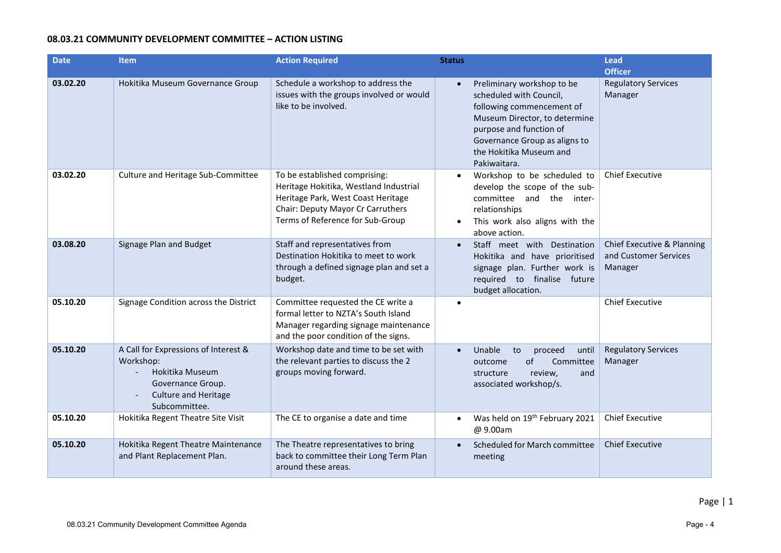#### **08.03.21 COMMUNITY DEVELOPMENT COMMITTEE – ACTION LISTING**

| <b>Date</b> | <b>Item</b>                                                                                                                                                           | <b>Action Required</b>                                                                                                                                                                 | <b>Status</b>          |                                                                                                                                                                                                                            | Lead<br><b>Officer</b>                                         |
|-------------|-----------------------------------------------------------------------------------------------------------------------------------------------------------------------|----------------------------------------------------------------------------------------------------------------------------------------------------------------------------------------|------------------------|----------------------------------------------------------------------------------------------------------------------------------------------------------------------------------------------------------------------------|----------------------------------------------------------------|
| 03.02.20    | Hokitika Museum Governance Group                                                                                                                                      | Schedule a workshop to address the<br>issues with the groups involved or would<br>like to be involved.                                                                                 | $\bullet$              | Preliminary workshop to be<br>scheduled with Council,<br>following commencement of<br>Museum Director, to determine<br>purpose and function of<br>Governance Group as aligns to<br>the Hokitika Museum and<br>Pakiwaitara. | <b>Regulatory Services</b><br>Manager                          |
| 03.02.20    | Culture and Heritage Sub-Committee                                                                                                                                    | To be established comprising:<br>Heritage Hokitika, Westland Industrial<br>Heritage Park, West Coast Heritage<br>Chair: Deputy Mayor Cr Carruthers<br>Terms of Reference for Sub-Group | $\bullet$<br>$\bullet$ | Workshop to be scheduled to<br>develop the scope of the sub-<br>committee and the inter-<br>relationships<br>This work also aligns with the<br>above action.                                                               | <b>Chief Executive</b>                                         |
| 03.08.20    | Signage Plan and Budget                                                                                                                                               | Staff and representatives from<br>Destination Hokitika to meet to work<br>through a defined signage plan and set a<br>budget.                                                          |                        | Staff meet with Destination<br>Hokitika and have prioritised<br>signage plan. Further work is<br>required to finalise future<br>budget allocation.                                                                         | Chief Executive & Planning<br>and Customer Services<br>Manager |
| 05.10.20    | Signage Condition across the District                                                                                                                                 | Committee requested the CE write a<br>formal letter to NZTA's South Island<br>Manager regarding signage maintenance<br>and the poor condition of the signs.                            |                        |                                                                                                                                                                                                                            | <b>Chief Executive</b>                                         |
| 05.10.20    | A Call for Expressions of Interest &<br>Workshop:<br>Hokitika Museum<br>Governance Group.<br><b>Culture and Heritage</b><br>$\overline{\phantom{a}}$<br>Subcommittee. | Workshop date and time to be set with<br>the relevant parties to discuss the 2<br>groups moving forward.                                                                               | $\bullet$              | Unable<br>to<br>proceed<br>until<br>of<br>Committee<br>outcome<br>review,<br>and<br>structure<br>associated workshop/s.                                                                                                    | <b>Regulatory Services</b><br>Manager                          |
| 05.10.20    | Hokitika Regent Theatre Site Visit                                                                                                                                    | The CE to organise a date and time                                                                                                                                                     | $\bullet$              | Was held on 19 <sup>th</sup> February 2021<br>@ 9.00am                                                                                                                                                                     | <b>Chief Executive</b>                                         |
| 05.10.20    | Hokitika Regent Theatre Maintenance<br>and Plant Replacement Plan.                                                                                                    | The Theatre representatives to bring<br>back to committee their Long Term Plan<br>around these areas.                                                                                  | $\bullet$              | Scheduled for March committee<br>meeting                                                                                                                                                                                   | <b>Chief Executive</b>                                         |

Page | 1